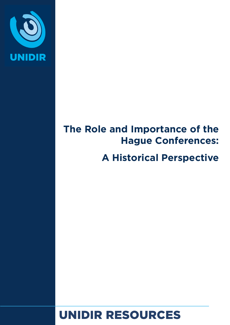

# **The Role and Importance of the Hague Conferences:**

## **A Historical Perspective**

# UNIDIR RESOURCES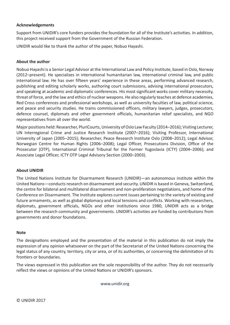#### **Acknowledgements**

Support from UNIDIR's core funders provides the foundation for all of the Institute's activities. In addition, this project received support from the Government of the Russian Federation.

UNIDIR would like to thank the author of the paper, Nobuo Hayashi.

#### **About the author**

Nobuo Hayashi is a Senior Legal Advisor at the International Law and Policy Institute, based in Oslo, Norway (2012–present). He specializes in international humanitarian law, international criminal law, and public international law. He has over fifteen years' experience in these areas, performing advanced research, publishing and editing scholarly works, authoring court submissions, advising international prosecutors, and speaking at academic and diplomatic conferences. His most significant works cover military necessity, threat of force, and the law and ethics of nuclear weapons. He also regularly teaches at defence academies, Red Cross conferences and professional workshops, as well as university faculties of law, political science, and peace and security studies. He trains commissioned officers, military lawyers, judges, prosecutors, defence counsel, diplomats and other government officials, humanitarian relief specialists, and NGO representatives from all over the world.

Major positions held: Researcher, PluriCourts, University of Oslo Law Faculty (2014–2016); Visiting Lecturer, UN Interregional Crime and Justice Research Institute (2007–2016); Visiting Professor, International University of Japan (2005–2015); Researcher, Peace Research Institute Oslo (2008–2012); Legal Advisor, Norwegian Centre for Human Rights (2006–2008); Legal Officer, Prosecutions Division, Office of the Prosecutor (OTP), International Criminal Tribunal for the Former Yugoslavia (ICTY) (2004–2006); and Associate Legal Officer, ICTY OTP Legal Advisory Section (2000–2003).

#### **About UNIDIR**

The United Nations Institute for Disarmament Research (UNIDIR)—an autonomous institute within the United Nations—conducts research on disarmament and security. UNIDIR is based in Geneva, Switzerland, the centre for bilateral and multilateral disarmament and non-proliferation negotiations, and home of the Conference on Disarmament. The Institute explores current issues pertaining to the variety of existing and future armaments, as well as global diplomacy and local tensions and conflicts. Working with researchers, diplomats, government officials, NGOs and other institutions since 1980, UNIDIR acts as a bridge between the research community and governments. UNIDIR's activities are funded by contributions from governments and donor foundations.

#### **Note**

The designations employed and the presentation of the material in this publication do not imply the expression of any opinion whatsoever on the part of the Secretariat of the United Nations concerning the legal status of any country, territory, city or area, or of its authorities, or concerning the delimitation of its frontiers or boundaries.

The views expressed in this publication are the sole responsibility of the author. They do not necessarily reflect the views or opinions of the United Nations or UNIDIR's sponsors.

[www.unidir.org](http://WWW.UNIDIR.ORG)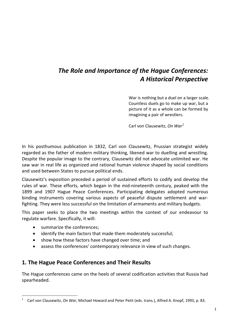## *The Role and Importance of the Hague Conferences: A Historical Perspective*

War is nothing but a duel on a larger scale. Countless duels go to make up war, but a picture of it as a whole can be formed by imagining a pair of wrestlers.

Carl von Clausewitz, *On War[1](#page-2-0)*

In his posthumous publication in 1832, Carl von Clausewitz, Prussian strategist widely regarded as the father of modern military thinking, likened war to duelling and wrestling. Despite the popular image to the contrary, Clausewitz did not advocate unlimited war. He saw war in real life as organized and rational human violence shaped by social conditions and used between States to pursue political ends.

Clausewitz's exposition preceded a period of sustained efforts to codify and develop the rules of war. These efforts, which began in the mid-nineteenth century, peaked with the 1899 and 1907 Hague Peace Conferences. Participating delegates adopted numerous binding instruments covering various aspects of peaceful dispute settlement and warfighting. They were less successful on the limitation of armaments and military budgets.

This paper seeks to place the two meetings within the context of our endeavour to regulate warfare. Specifically, it will:

• summarize the conferences;

 $\overline{a}$ 

- identify the main factors that made them moderately successful;
- show how these factors have changed over time; and
- assess the conferences' contemporary relevance in view of such changes.

### **1. The Hague Peace Conferences and Their Results**

The Hague conferences came on the heels of several codification activities that Russia had spearheaded.

<span id="page-2-0"></span><sup>1</sup> Carl von Clausewitz, *On War*, Michael Howard and Peter Petit (eds. trans.), Alfred A. Knopf, 1993, p. 83.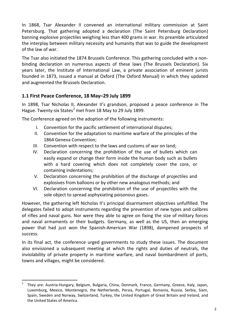In 1868, Tsar Alexander II convened an international military commission at Saint Petersburg. That gathering adopted a declaration (The Saint Petersburg Declaration) banning explosive projectiles weighing less than 400 grams in war. Its preamble articulated the interplay between military necessity and humanity that was to guide the development of the law of war.

The Tsar also initiated the 1874 Brussels Conference. This gathering concluded with a nonbinding declaration on numerous aspects of these laws (The Brussels Declaration). Six years later, the Institute of International Law, a private association of eminent jurists founded in 1873, issued a manual at Oxford (The Oxford Manual) in which they updated and augmented the Brussels Declaration.

#### **1.1 First Peace Conference, 18 May–29 July 1899**

 $\overline{a}$ 

In 1898, Tsar Nicholas II, Alexander II's grandson, proposed a peace conference in The Hague. Twenty-six States<sup>[2](#page-3-0)</sup> met from 18 May to 29 July 1899.

The Conference agreed on the adoption of the following instruments:

- I. Convention for the pacific settlement of international disputes;
- II. Convention for the adaptation to maritime warfare of the principles of the 1864 Geneva Convention;
- III. Convention with respect to the laws and customs of war on land;
- IV. Declaration concerning the prohibition of the use of bullets which can easily expand or change their form inside the human body such as bullets with a hard covering which does not completely cover the core, or containing indentations;
- V. Declaration concerning the prohibition of the discharge of projectiles and explosives from balloons or by other new analogous methods; and
- VI. Declaration concerning the prohibition of the use of projectiles with the sole object to spread asphyxiating poisonous gases.

However, the gathering left Nicholas II's principal disarmament objectives unfulfilled. The delegates failed to adopt instruments regarding the prevention of new types and calibres of rifles and naval guns. Nor were they able to agree on fixing the size of military forces and naval armaments or their budgets. Germany, as well as the US, then an emerging power that had just won the Spanish-American War (1898), dampened prospects of success.

In its final act, the conference urged governments to study these issues. The document also envisioned a subsequent meeting at which the rights and duties of neutrals, the inviolability of private property in maritime warfare, and naval bombardment of ports, towns and villages, might be considered.

<span id="page-3-0"></span><sup>2</sup> They are: Austria-Hungary, Belgium, Bulgaria, China, Denmark, France, Germany, Greece, Italy, Japan, Luxemburg, Mexico, Montenegro, the Netherlands, Persia, Portugal, Romania, Russia, Serbia, Siam, Spain, Sweden and Norway, Switzerland, Turkey, the United Kingdom of Great Britain and Ireland, and the United States of America.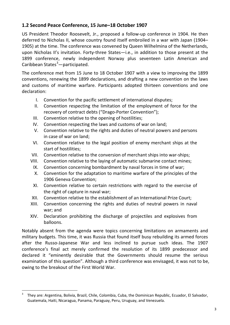#### **1.2 Second Peace Conference, 15 June–18 October 1907**

US President Theodor Roosevelt, Jr., proposed a follow-up conference in 1904. He then deferred to Nicholas II, whose country found itself embroiled in a war with Japan (1904– 1905) at the time. The conference was convened by Queen Wilhelmina of the Netherlands, upon Nicholas II's invitation. Forty-three States—i.e., in addition to those present at the 1899 conference, newly independent Norway plus seventeen Latin American and Caribbean States<sup>[3](#page-4-0)</sup> — participated.

The conference met from 15 June to 18 October 1907 with a view to improving the 1899 conventions, renewing the 1899 declarations, and drafting a new convention on the laws and customs of maritime warfare. Participants adopted thirteen conventions and one declaration:

- I. Convention for the pacific settlement of international disputes;
- II. Convention respecting the limitation of the employment of force for the recovery of contract debts ("Drago-Porter Convention");
- III. Convention relative to the opening of hostilities;
- IV. Convention respecting the laws and customs of war on land;
- V. Convention relative to the rights and duties of neutral powers and persons in case of war on land;
- VI. Convention relative to the legal position of enemy merchant ships at the start of hostilities;
- VII. Convention relative to the conversion of merchant ships into war-ships;
- VIII. Convention relative to the laying of automatic submarine contact mines;
	- IX. Convention concerning bombardment by naval forces in time of war;
	- X. Convention for the adaptation to maritime warfare of the principles of the 1906 Geneva Convention;
	- XI. Convention relative to certain restrictions with regard to the exercise of the right of capture in naval war;
- XII. Convention relative to the establishment of an International Prize Court;
- XIII. Convention concerning the rights and duties of neutral powers in naval war; and
- XIV. Declaration prohibiting the discharge of projectiles and explosives from balloons.

Notably absent from the agenda were topics concerning limitations on armaments and military budgets. This time, it was Russia that found itself busy rebuilding its armed forces after the Russo-Japanese War and less inclined to pursue such ideas. The 1907 conference's final act merely confirmed the resolution of its 1899 predecessor and declared it "eminently desirable that the Governments should resume the serious examination of this question". Although a third conference was envisaged, it was not to be, owing to the breakout of the First World War.

<span id="page-4-0"></span><sup>3</sup> They are: Argentina, Bolivia, Brazil, Chile, Colombia, Cuba, the Dominican Republic, Ecuador, El Salvador, Guatemala, Haiti, Nicaragua, Panama, Paraguay, Peru, Uruguay, and Venezuela.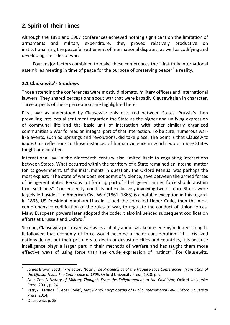## **2. Spirit of Their Times**

Although the 1899 and 1907 conferences achieved nothing significant on the limitation of armaments and military expenditure, they proved relatively productive on institutionalizing the peaceful settlement of international disputes, as well as codifying and developing the rules of war.

Four major factors combined to make these conferences the "first truly international assemblies meeting in time of peace for the purpose of preserving peace"<sup>[4](#page-5-0)</sup> a reality.

#### **2.1 Clausewitz's Shadows**

Those attending the conferences were mostly diplomats, military officers and international lawyers. They shared perceptions about war that were broadly Clausewitzian in character. Three aspects of these perceptions are highlighted here.

First, war as understood by Clausewitz only occurred between States. Prussia's then prevailing intellectual sentiment regarded the State as the higher and unifying expression of communal life and the basic unit of interaction with other similarly organized communities.*[5](#page-5-1)* War formed an integral part of that interaction. To be sure, numerous warlike events, such as uprisings and revolutions, did take place. The point is that Clausewitz *limited* his reflections to those instances of human violence in which two or more States fought one another.

International law in the nineteenth century also limited itself to regulating interactions between States. What occurred within the territory of a State remained an internal matter for its government. Of the instruments in question, the Oxford Manual was perhaps the most explicit: "The state of war does not admit of violence, save between the armed forces of belligerent States. Persons not forming part of a belligerent armed force should abstain from such acts". Consequently, conflicts not exclusively involving two or more States were largely left aside. The American Civil War (1861–1865) is a notable exception in this regard. In 1863, US President Abraham Lincoln issued the so-called Lieber Code, then the most comprehensive codification of the rules of war, to regulate the conduct of Union forces. Many European powers later adopted the code; it also influenced subsequent codification efforts at Brussels and Oxford.<sup>[6](#page-5-2)</sup>

Second, Clausewitz portrayed war as essentially about weakening enemy military strength. It followed that economy of force would become a major consideration: "If … civilized nations do not put their prisoners to death or devastate cities and countries, it is because intelligence plays a larger part in their methods of warfare and has taught them more effective ways of using force than the crude expression of instinct".<sup>[7](#page-5-3)</sup> For Clausewitz,

<span id="page-5-0"></span><sup>4</sup> James Brown Scott, "Prefactory Note", *The Proceedings of the Hague Peace Conferences: Translation of the Official Texts: The Conference of 1899*, Oxford University Press, 1920, p. v.

<span id="page-5-1"></span><sup>5</sup> Azar Gat, A *History of Military Thought: From the Enlightenment to the Cold War*, Oxford University Press, 2001, p. 241.

<span id="page-5-2"></span><sup>6</sup> Patryk I Labuda, "Lieber Code", *Max Planck Encyclopedia of Public International Law*, Oxford University Press, 2014.

<span id="page-5-3"></span><sup>7</sup> Clausewitz, p. 85.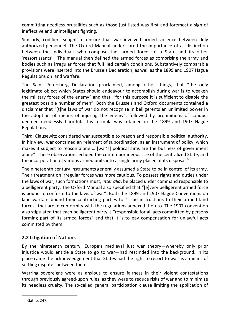committing needless brutalities such as those just listed was first and foremost a sign of ineffective and unintelligent fighting.

Similarly, codifiers sought to ensure that war involved armed violence between duly authorized personnel. The Oxford Manual underscored the importance of a "distinction between the individuals who compose the 'armed force' of a State and its other 'ressortissants'". The manual then defined the armed forces as comprising the army and bodies such as irregular forces that fulfilled certain conditions. Substantively comparable provisions were inserted into the Brussels Declaration, as well as the 1899 and 1907 Hague Regulations on land warfare.

The Saint Petersburg Declaration proclaimed, among other things, that "the only legitimate object which States should endeavour to accomplish during war is to weaken the military forces of the enemy" and that, "for this purpose it is sufficient to disable the greatest possible number of men". Both the Brussels and Oxford documents contained a disclaimer that "[t]he laws of war do not recognize in belligerents an unlimited power in the adoption of means of injuring the enemy", followed by prohibitions of conduct deemed needlessly harmful. This formula was retained in the 1899 and 1907 Hague Regulations.

Third, Clausewitz considered war susceptible to reason and responsible political authority. In his view, war contained an "element of subordination, as an instrument of policy, which makes it subject to reason alone … [war's] political aims are the business of government alone". These observations echoed the contemporaneous rise of the centralized State, and the incorporation of various armed units into a single army placed at its disposal. $^8$  $^8$ 

The nineteenth century instruments generally assumed a State to be in control of its army. Their treatment on irregular forces was more cautious. To possess rights and duties under the laws of war, such formations must, *inter alia*, be placed under command responsible to a belligerent party. The Oxford Manual also specified that "[e]very belligerent armed force is bound to conform to the laws of war". Both the 1899 and 1907 Hague Conventions on land warfare bound their contracting parties to "issue instructions to their armed land forces" that are in conformity with the regulations annexed thereto. The 1907 convention also stipulated that each belligerent party is "responsible for all acts committed by persons forming part of its armed forces" and that it is to pay compensation for unlawful acts committed by them.

### **2.2 Litigation of Nations**

By the nineteenth century, Europe's medieval just war theory—whereby only prior injustice would entitle a State to go to war—had rescinded into the background. In its place came the acknowledgement that States had the right to resort to war as a means of settling disputes between them.

Warring sovereigns were as anxious to ensure fairness in their violent contestations through previously agreed-upon rules, as they were to reduce risks of war and to minimize its needless cruelty. The so-called general participation clause limiting the application of

<span id="page-6-0"></span> $8$  Gat, p. 247.  $\overline{a}$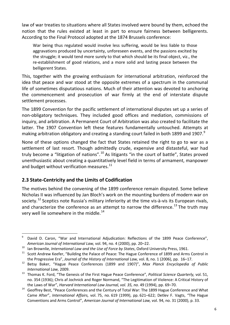law of war treaties to situations where all States involved were bound by them, echoed the notion that the rules existed at least in part to ensure fairness between belligerents. According to the Final Protocol adopted at the 1874 Brussels conference:

War being thus regulated would involve less suffering, would be less liable to those aggravations produced by uncertainty, unforeseen events, and the passions excited by the struggle; it would tend more surely to that which should be its final object, viz., the re-establishment of good relations, and a more solid and lasting peace between the belligerent States.

This, together with the growing enthusiasm for international arbitration, reinforced the idea that peace and war stood at the opposite extremes of a spectrum in the communal life of sometimes disputatious nations. Much of their attention was devoted to anchoring the commencement and prosecution of war firmly at the end of interstate dispute settlement processes.

The 1899 Convention for the pacific settlement of international disputes set up a series of non-obligatory techniques. They included good offices and mediation, commissions of inquiry, and arbitration. A Permanent Court of Arbitration was also created to facilitate the latter. The 1907 Convention left these features fundamentally untouched. Attempts at making arbitration obligatory and creating a standing court failed in both 18[9](#page-7-0)9 and 1907.<sup>9</sup>

None of these options changed the fact that States retained the right to go to war as a settlement of last resort. Though admittedly crude, expensive and distasteful, war had truly become a "litigation of nations".<sup>[10](#page-7-1)</sup> As litigants "in the court of battle", States proved unenthusiastic about creating a quantitatively level field in terms of armament, manpower and budget without verification measures.<sup>[11](#page-7-2)</sup>

#### **2.3 State-Centricity and the Limits of Codification**

The motives behind the convening of the 1899 conference remain disputed. Some believe Nicholas II was influenced by Jan Bloch's work on the mounting burdens of modern war on society.<sup>[12](#page-7-3)</sup> Sceptics note Russia's military inferiority at the time vis-à-vis its European rivals, and characterize the conference as an attempt to narrow the difference.<sup>[13](#page-7-4)</sup> The truth may very well lie somewhere in the middle. $14$ 

<span id="page-7-0"></span><sup>&</sup>lt;sup>9</sup> David D. Caron, "War and International Adjudication: Reflections of the 1899 Peace Conference", *American Journal of International Law,* vol. 94, no. 4 (2000), pp. 20–22.  $\overline{a}$ 

<span id="page-7-1"></span><sup>&</sup>lt;sup>10</sup> Ian Brownlie, *International Law and the Use of Force by States*, Oxford University Press, 1961.

<span id="page-7-2"></span>Scott Andrew Keefer, "Building the Palace of Peace: The Hague Conference of 1899 and Arms Control in the Progressive Era", *Journal of the History of International Law,* vol. 8, no. 1 (2006), pp. 16–17.

<span id="page-7-3"></span><sup>12</sup> Betsy Baker, "Hague Peace Conferences (1899 and 1907)", *Max Planck Encyclopedia of Public International Law,* 2009.

<span id="page-7-4"></span><sup>13</sup> Thomas K. Ford, "The Genesis of the First Hague Peace Conference", *Political Science Quarterly,* vol. 51, no. 354 (1936); Chris af Jochnick and Roger Normand, "The Legitimation of Violence: A Critical History of the Laws of War", *Harvard International Law Journal, vol. 35, no.* 49 (1994), pp. 69–70.

<span id="page-7-5"></span><sup>&</sup>lt;sup>14</sup> Geoffrey Best, "Peace Conferences and the Century of Total War: The 1899 Hague Conference and What Came After", *International Affairs,* vol. 75, no. 619 (1999), pp. 621–622; Detlev F. Vagts, "The Hague Conventions and Arms Control", *American Journal of International Law,* vol. 94, no. 31 (2000), p. 33.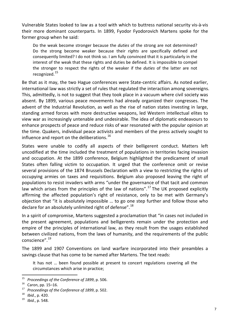Vulnerable States looked to law as a tool with which to buttress national security vis-à-vis their more dominant counterparts. In 1899, Fyodor Fyodorovich Martens spoke for the former group when he said:

Do the weak become stronger because the *duties* of the strong are not determined? Do the strong become weaker because their *rights* are specifically defined and consequently limited? I do not think so. I am fully convinced that it is particularly in the interest of the weak that these rights and duties be defined. It is impossible to compel the stronger to respect the rights of the weaker if the *duties* of the latter are not recognized.[15](#page-8-0)

Be that as it may, the two Hague conferences were State-centric affairs. As noted earlier, international law was strictly a set of rules that regulated the interaction among sovereigns. This, admittedly, is not to suggest that they took place in a vacuum where civil society was absent. By 1899, various peace movements had already organized their congresses. The advent of the Industrial Revolution, as well as the rise of nation states investing in large, standing armed forces with more destructive weapons, led Western intellectual elites to view war as increasingly untenable and undesirable. The idea of diplomatic endeavours to enhance prospects of peace and reduce risks of war resonated with the popular opinion at the time. Quakers, individual peace activists and members of the press actively sought to influence and report on the deliberations.<sup>[16](#page-8-1)</sup>

States were unable to codify all aspects of their belligerent conduct. Matters left uncodified at the time included the treatment of populations in territories facing invasion and occupation. At the 1899 conference, Belgium highlighted the predicament of small States often falling victim to occupation. It urged that the conference omit or revise several provisions of the 1874 Brussels Declaration with a view to restricting the rights of occupying armies on taxes and requisitions. Belgium also proposed leaving the right of populations to resist invaders with arms "under the governance of that tacit and common law which arises from the principles of the law of nations".<sup>[17](#page-8-2)</sup> The UK proposed explicitly affirming the affected population's right of resistance, only to be met with Germany's objection that "it is absolutely impossible … to go one step further and follow those who declare for an absolutely unlimited right of defense".<sup>[18](#page-8-3)</sup>

In a spirit of compromise, Martens suggested a proclamation that "in cases not included in the present agreement, populations and belligerents remain under the protection and empire of the principles of international law, as they result from the usages established between civilized nations, from the laws of humanity, and the requirements of the public conscience". [19](#page-8-4)

The 1899 and 1907 Conventions on land warfare incorporated into their preambles a savings clause that has come to be named after Martens. The text reads:

It has not … been found possible at present to concert regulations covering all the circumstances which arise in practice;

<span id="page-8-0"></span><sup>&</sup>lt;sup>15</sup> *Proceedings of the Conference of 1899, p.* 506.<br><sup>16</sup> Caron pp. 15–16

<span id="page-8-1"></span>Caron, pp. 15–16.

<span id="page-8-2"></span><sup>&</sup>lt;sup>17</sup> *Proceedings of the Conference of 1899, p.* 502.

<span id="page-8-3"></span><sup>18</sup> *Ibid*., p. 420.

<span id="page-8-4"></span>*Ibid.*, p. 548.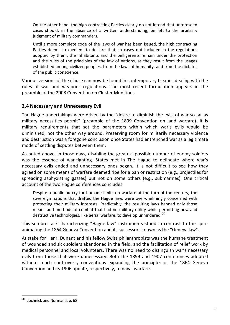On the other hand, the high contracting Parties clearly do not intend that unforeseen cases should, in the absence of a written understanding, be left to the arbitrary judgment of military commanders.

Until a more complete code of the laws of war has been issued, the high contracting Parties deem it expedient to declare that, in cases not included in the regulations adopted by them, the inhabitants and the belligerents remain under the protection and the rules of the principles of the law of nations, as they result from the usages established among civilized peoples, from the laws of humanity, and from the dictates of the public conscience.

Various versions of the clause can now be found in contemporary treaties dealing with the rules of war and weapons regulations. The most recent formulation appears in the preamble of the 2008 Convention on Cluster Munitions.

#### **2.4 Necessary and Unnecessary Evil**

The Hague undertakings were driven by the "desire to diminish the evils of war so far as military necessities permit" (preamble of the 1899 Convention on land warfare). It is military requirements that set the parameters within which war's evils would be diminished, not the other way around. Preserving room for militarily necessary violence and destruction was a foregone conclusion once States had entrenched war as a legitimate mode of settling disputes between them.

As noted above, in those days, disabling the greatest possible number of enemy soldiers was the essence of war-fighting. States met in The Hague to delineate where war's necessary evils ended and unnecessary ones began. It is not difficult to see how they agreed on some means of warfare deemed ripe for a ban or restriction (e.g., projectiles for spreading asphyxiating gasses) but not on some others (e.g., submarines). One critical account of the two Hague conferences concludes:

Despite a public outcry for humane limits on warfare at the turn of the century, the sovereign nations that drafted the Hague laws were overwhelmingly concerned with protecting their military interests. Predictably, the resulting laws banned only those means and methods of combat that had no military utility while permitting new and destructive technologies, like aerial warfare, to develop unhindered.*[20](#page-9-0)*

This sombre task characterizing "Hague law" instruments stood in contrast to the spirit animating the 1864 Geneva Convention and its successors known as the "Geneva law".

At stake for Henri Dunant and his fellow Swiss philanthropists was the humane treatment of wounded and sick soldiers abandoned in the field, and the facilitation of relief work by medical personnel and local volunteers. There was no need to distinguish war's necessary evils from those that were unnecessary. Both the 1899 and 1907 conferences adopted without much controversy conventions expanding the principles of the 1864 Geneva Convention and its 1906 update, respectively, to naval warfare.

<span id="page-9-0"></span><sup>&</sup>lt;sup>20</sup> Jochnick and Normand, p. 68.  $\overline{a}$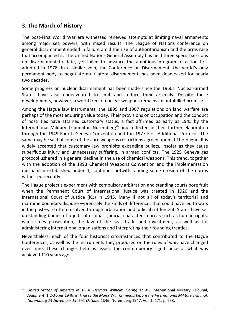## **3. The March of History**

The post-First World War era witnessed renewed attempts at limiting naval armaments among major sea powers, with mixed results. The League of Nations conference on general disarmament ended in failure amid the rise of authoritarianism and the arms race that accompanied it. The United Nations General Assembly has held three special sessions on disarmament to date, yet failed to advance the ambitious program of action first adopted in 1978. In a similar vein, the Conference on Disarmament, the world's only permanent body to negotiate multilateral disarmament, has been deadlocked for nearly two decades.

Some progress on nuclear disarmament has been made since the 1960s. Nuclear-armed States have also endeavoured to limit and reduce their arsenals. Despite these developments, however, a world free of nuclear weapons remains an unfulfilled promise.

Among the Hague law instruments, the 1899 and 1907 regulations on land warfare are perhaps of the most enduring value today. Their provisions on occupation and the conduct of hostilities have attained customary status, a fact affirmed as early as 1945 by the International Military Tribunal in Nuremberg<sup>[21](#page-10-0)</sup> and reflected in their further elaboration through the 1949 Fourth Geneva Convention and the 1977 First Additional Protocol. The same may be said of some of the core weapons restrictions agreed upon at The Hague. It is widely accepted that customary law prohibits expanding bullets, insofar as they cause superfluous injury and unnecessary suffering, in armed conflicts. The 1925 Geneva gas protocol ushered in a general decline in the use of chemical weapons. This trend, together with the adoption of the 1993 Chemical Weapons Convention and the implementation mechanism established under it, continues notwithstanding some erosion of the norms witnessed recently.

The Hague project's experiment with compulsory arbitration and standing courts bore fruit when the Permanent Court of International Justice was created in 1920 and the International Court of Justice (ICJ) in 1945. Many if not all of today's territorial and maritime boundary disputes—precisely the kinds of differences that could have led to wars in the past—are often resolved through arbitration and judicial settlement. States have set up standing bodies of a judicial or quasi-judicial character in areas such as human rights, war crimes prosecution, the law of the sea, trade and investment, as well as for administering international organizations and interpreting their founding treaties.

Nevertheless, each of the four historical circumstances that contributed to the Hague Conferences, as well as the instruments they produced on the rules of war, have changed over time. These changes help us assess the contemporary significance of what was achieved 110 years ago.

<span id="page-10-0"></span><sup>21</sup> *United States of America* et al. *v. Herman Wilhelm Göring* et al., International Military Tribunal, *Judgment*, 1 October 1946, in *Trial of the Major War Criminals before the International Military Tribunal: Nuremberg 14 November 1945–1 October 1046*, Nuremberg 1947, Vol. 1, 171, p. 253.  $\overline{a}$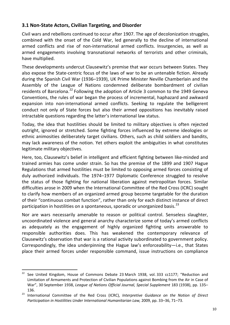#### **3.1 Non-State Actors, Civilian Targeting, and Disorder**

Civil wars and rebellions continued to occur after 1907. The age of decolonization struggles, combined with the onset of the Cold War, led generally to the decline of international armed conflicts and rise of non-international armed conflicts. Insurgencies, as well as armed engagements involving transnational networks of terrorists and other criminals, have multiplied.

These developments undercut Clausewitz's premise that war occurs between States. They also expose the State-centric focus of the laws of war to be an untenable fiction. Already during the Spanish Civil War (1936–1939), UK Prime Minister Neville Chamberlain and the Assembly of the League of Nations condemned deliberate bombardment of civilian residents of Barcelona.<sup>[22](#page-11-0)</sup> Following the adoption of Article 3 common to the 1949 Geneva Conventions, the rules of war began the process of incremental, haphazard and awkward expansion into non-international armed conflicts. Seeking to regulate the belligerent conduct not only of State forces but also their armed oppositions has inevitably raised intractable questions regarding the latter's international law status.

Today, the idea that hostilities should be limited to military objectives is often rejected outright, ignored or stretched. Some fighting forces influenced by extreme ideologies or ethnic animosities deliberately target civilians. Others, such as child soldiers and bandits, may lack awareness of the notion. Yet others exploit the ambiguities in what constitutes legitimate military objectives.

Here, too, Clausewitz's belief in intelligent and efficient fighting between like-minded and trained armies has come under strain. So has the premise of the 1899 and 1907 Hague Regulations that armed hostilities must be limited to opposing armed forces consisting of duly authorized individuals. The 1974–1977 Diplomatic Conference struggled to resolve the status of those fighting for national liberation against metropolitan forces. Similar difficulties arose in 2009 when the International Committee of the Red Cross (ICRC) sought to clarify how members of an organized armed group become targetable for the duration of their "continuous combat function", rather than only for each distinct instance of direct participation in hostilities on a spontaneous, sporadic or unorganized basis.<sup>[23](#page-11-1)</sup>

Nor are wars necessarily amenable to reason or political control. Senseless slaughter, uncoordinated violence and general anarchy characterize some of today's armed conflicts as adequately as the engagement of highly organized fighting units answerable to responsible authorities does. This has weakened the contemporary relevance of Clausewitz's observation that war is a rational activity subordinated to government policy. Correspondingly, the idea underpinning the Hague law's enforceability—i.e., that States place their armed forces under responsible command, issue instructions on compliance

<span id="page-11-0"></span><sup>&</sup>lt;sup>22</sup> See United Kingdom, House of Commons Debate 23 March 1938, vol. 333 cc1177; "Reduction and Limitation of Armaments and Protection of Civilian Populations against Bombing from the Air in Case of War", 30 September 1938, *League of Nations Official Journal, Special Supplement* 183 (1938), pp. 135– 136.

<span id="page-11-1"></span><sup>23</sup> International Committee of the Red Cross (ICRC), *Interpretive Guidance on the Notion of Direct Participation in Hostilities Under International Humanitarian Law,* 2009, pp. 33–36, 71–73.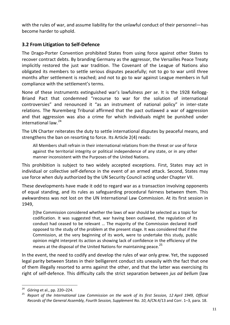with the rules of war, and assume liability for the unlawful conduct of their personnel—has become harder to uphold.

#### **3.2 From Litigation to Self-Defence**

The Drago-Porter Convention prohibited States from using force against other States to recover contract debts. By branding Germany as the aggressor, the Versailles Peace Treaty implicitly restored the just war tradition. The Covenant of the League of Nations also obligated its members to settle serious disputes peacefully; not to go to war until three months after settlement is reached; and not to go to war against League members in full compliance with the settlement's terms.

None of these instruments extinguished war's lawfulness *per se*. It is the 1928 Kellogg-Briand Pact that condemned "recourse to war for the solution of international controversies" and renounced it "as an instrument of national policy" in inter-state relations. The Nuremberg Tribunal affirmed that the pact outlawed a war of aggression and that aggression was also a crime for which individuals might be punished under international law. [24](#page-12-0)

The UN Charter reiterates the duty to settle international disputes by peaceful means, and strengthens the ban on resorting to force. Its Article 2(4) reads:

All Members shall refrain in their international relations from the threat or use of force against the territorial integrity or political independence of any state, or in any other manner inconsistent with the Purposes of the United Nations.

This prohibition is subject to two widely accepted exceptions. First, States may act in individual or collective self-defence in the event of an armed attack. Second, States may use force when duly authorized by the UN Security Council acting under Chapter VII.

These developments have made it odd to regard war as a transaction involving opponents of equal standing, and its rules as safeguarding procedural fairness between them. This awkwardness was not lost on the UN International Law Commission. At its first session in 1949,

[t]he Commission considered whether the laws of war should be selected as a topic for codification. It was suggested that, war having been outlawed, the regulation of its conduct had ceased to be relevant … The majority of the Commission declared itself opposed to the study of the problem at the present stage. It was considered that if the Commission, at the very beginning of its work, were to undertake this study, public opinion might interpret its action as showing lack of confidence in the efficiency of the means at the disposal of the United Nations for maintaining peace.<sup>[25](#page-12-1)</sup>

In the event, the need to codify and develop the rules of war only grew. Yet, the supposed legal parity between States in their belligerent conduct sits uneasily with the fact that one of them illegally resorted to arms against the other, and that the latter was exercising its right of self-defence. This difficulty calls the strict separation between *jus ad bellum* (law

<sup>24</sup> *Göring* et al., pp. 220–224.  $\overline{a}$ 

<span id="page-12-1"></span><span id="page-12-0"></span><sup>25</sup> *Report of the International Law Commission on the work of its first Session, 12 April 1949, Official Records of the General Assembly, Fourth Session, Supplement No. 10*, A/CN.4/13 and Corr. 1–3, para. 18.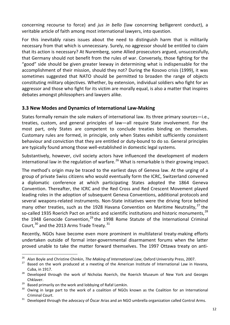concerning recourse to force) and *jus in bello* (law concerning belligerent conduct), a veritable article of faith among most international lawyers, into question.

For this inevitably raises issues about the need to distinguish harm that is militarily necessary from that which is unnecessary. Surely, no aggressor should be entitled to claim that its action is necessary? At Nuremberg, some Allied prosecutors argued, unsuccessfully, that Germany should not benefit from the rules of war. Conversely, those fighting for the "good" side should be given greater leeway in determining what is indispensable for the accomplishment of their mission, should they not? During the Kosovo crisis (1999), it was sometimes suggested that NATO should be permitted to broaden the range of objects constituting military objectives. Whether, by extension, individual soldiers who fight for an aggressor and those who fight for its victim are morally equal, is also a matter that inspires debates amongst philosophers and lawyers alike.

#### **3.3 New Modes and Dynamics of International Law-Making**

States formally remain the sole makers of international law. Its three primary sources—i.e., treaties, custom, and general principles of law—all require State involvement. For the most part, only States are competent to conclude treaties binding on themselves. Customary rules are formed, in principle, only when States exhibit sufficiently consistent behaviour and conviction that they are entitled or duty-bound to do so. General principles are typically found among those well-established in domestic legal systems.

Substantively, however, civil society actors have influenced the development of modern international law in the regulation of warfare.<sup>[26](#page-13-0)</sup> What is remarkable is their growing impact.

The method's origin may be traced to the earliest days of Geneva law. At the urging of a group of private Swiss citizens who would eventually form the ICRC, Switzerland convened a diplomatic conference at which participating States adopted the 1864 Geneva Convention. Thereafter, the ICRC and the Red Cross and Red Crescent Movement played leading roles in the adoption of subsequent Geneva Conventions, additional protocols and several weapons-related instruments. Non-State initiatives were the driving force behind many other treaties, such as the 1928 Havana Convention on Maritime Neutrality,<sup>[27](#page-13-1)</sup> the so-called 1935 Roerich Pact on artistic and scientific institutions and historic monuments.<sup>[28](#page-13-2)</sup> the 1948 Genocide Convention,<sup>[29](#page-13-3)</sup> the 1998 Rome Statute of the International Criminal Court,  $^{30}$  $^{30}$  $^{30}$  and the 2013 Arms Trade Treaty.  $^{31}$  $^{31}$  $^{31}$ 

Recently, NGOs have become even more prominent in multilateral treaty-making efforts undertaken outside of formal inter-governmental disarmament forums when the latter proved unable to take the matter forward themselves. The 1997 Ottawa treaty on anti-

<sup>26</sup> Alan Boyle and Christine Chinkin, *The Making of International Law*, Oxford University Press, 2007.  $\overline{a}$ 

<span id="page-13-1"></span><span id="page-13-0"></span> $27$  Based on the work produced at a meeting of the American Institute of International Law in Havana, Cuba, in 1917.

<span id="page-13-2"></span><sup>&</sup>lt;sup>28</sup> Developed through the work of Nicholas Roerich, the Roerich Museum of New York and Georges Chklaver.

<span id="page-13-3"></span> $29$  Based primarily on the work and lobbying of Rafał Lemkin.

<span id="page-13-4"></span><sup>&</sup>lt;sup>30</sup> Owing in large part to the work of a coalition of NGOs known as the Coalition for an International Criminal Court.

<span id="page-13-5"></span><sup>&</sup>lt;sup>31</sup> Developed through the advocacy of Óscar Arias and an NGO umbrella organization called Control Arms.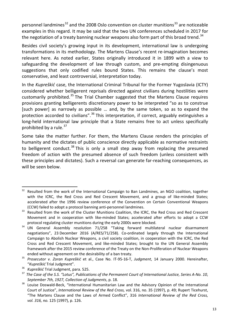personnel landmines<sup>[32](#page-14-0)</sup> and the 2008 Oslo convention on cluster munitions<sup>[33](#page-14-1)</sup> are noticeable examples in this regard. It may be said that the two UN conferences scheduled in 2017 for the negotiation of a treaty banning nuclear weapons also form part of this broad trend.<sup>[34](#page-14-2)</sup>

Besides civil society's growing input in its development, international law is undergoing transformations in its methodology. The Martens Clause's recent re-imagination becomes relevant here. As noted earlier, States originally introduced it in 1899 with a view to safeguarding the development of law through custom, and pre-empting disingenuous suggestions that only codified rules bound States. This remains the clause's most conservative, and least controversial, interpretation today.

In the *Kupreškić* case, the International Criminal Tribunal for the Former Yugoslavia (ICTY) considered whether belligerent reprisals directed against civilians during hostilities were customarily prohibited.<sup>[35](#page-14-3)</sup> The Trial Chamber suggested that the Martens Clause requires provisions granting belligerents discretionary power to be interpreted "so as to construe [such power] as narrowly as possible … and, by the same token, so as to expand the protection accorded to civilians".<sup>[36](#page-14-4)</sup> This interpretation, if correct, arguably extinguishes a long-held international law principle that a State remains free to act unless specifically prohibited by a rule. $37$ 

Some take the matter further. For them, the Martens Clause renders the principles of humanity and the dictates of public conscience directly applicable as normative restraints to belligerent conduct.<sup>[38](#page-14-6)</sup> This is only a small step away from replacing the presumed freedom of action with the presumed absence of such freedom (unless consistent with these principles and dictates). Such a reversal can generate far-reaching consequences, as will be seen below.

<span id="page-14-0"></span>Resulted from the work of the International Campaign to Ban Landmines, an NGO coalition, together with the ICRC, the Red Cross and Red Crescent Movement, and a group of like-minded States; accelerated after the 1996 review conference of the Convention on Certain Conventional Weapons (CCW) failed to adopt a protocol banning anti-personnel landmines.  $\overline{a}$ 

<span id="page-14-1"></span><sup>&</sup>lt;sup>33</sup> Resulted from the work of the Cluster Munitions Coalition, the ICRC, the Red Cross and Red Crescent Movement and in cooperation with like-minded States; accelerated after efforts to adopt a CCW protocol regulating cluster munitions during the early 2000s were blocked.

<span id="page-14-2"></span><sup>&</sup>lt;sup>34</sup> UN General Assembly resolution 71/258 "Taking forward multilateral nuclear disarmament negotiations", 23 December 2016 (A/RES/71/258). Co-ordinated largely through the International Campaign to Abolish Nuclear Weapons, a civil society coalition, in cooperation with the ICRC, the Red Cross and Red Crescent Movement, and like-minded States; brought to the UN General Assembly framework after the 2015 review conference of the Treaty on the Non-Proliferation of Nuclear Weapons ended without agreement on the desirability of a ban treaty.

<span id="page-14-3"></span><sup>35</sup> *Prosecutor v. Zoran Kupreškić* et al., Case No. IT-95-16-T, *Judgment*, 14 January 2000. Hereinafter, "*Kupreškić* Trial Judgment".

<span id="page-14-4"></span><sup>36</sup> *Kupreškić* Trial Judgment, para. 525.

<span id="page-14-5"></span><sup>37</sup> *The Case of the S.S. "Lotus", Publications of the Permanent Court of International Justice, Series A-No. 10*, *September 7th, 1927, Collection of Judgments*, p. 18.

<span id="page-14-6"></span><sup>&</sup>lt;sup>38</sup> Louise Doswald-Beck, "International Humanitarian Law and the Advisory Opinion of the International Court of Justice", *International Review of the Red Cross,* vol. 316, no. 35 (1997), p. 49; Rupert Ticehurst, "The Martens Clause and the Laws of Armed Conflict", 316 *International Review of the Red Cross, vol. 316, no.* 125 (1997), p. 126.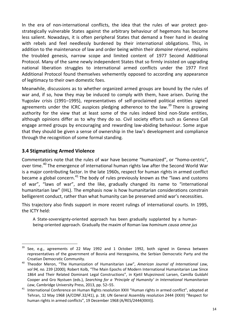In the era of non-international conflicts, the idea that the rules of war protect geostrategically vulnerable States against the arbitrary behaviour of hegemons has become less salient. Nowadays, it is often peripheral States that demand a freer hand in dealing with rebels and feel needlessly burdened by their international obligations. This, in addition to the maintenance of law and order being within their *domaine réservé*, explains the troubled genesis, narrow scope and limited content of 1977 Second Additional Protocol. Many of the same newly independent States that so firmly insisted on upgrading national liberation struggles to international armed conflicts under the 1977 First Additional Protocol found themselves vehemently opposed to according any appearance of legitimacy to their own domestic foes.

Meanwhile, discussions as to whether organized armed groups are bound by the rules of war and, if so, how they may be induced to comply with them, have arisen. During the Yugoslav crisis (1991–1995), representatives of self-proclaimed political entities signed agreements under the ICRC auspices pledging adherence to the law.<sup>[39](#page-15-0)</sup> There is growing authority for the view that at least some of the rules indeed bind non-State entities, although opinions differ as to why they do so. Civil society efforts such as Geneva Call engage armed groups by encouraging and rewarding law-abiding behaviour. Some argue that they should be given a sense of ownership in the law's development and compliance through the recognition of some formal standing.

#### **3.4 Stigmatizing Armed Violence**

Commentators note that the rules of war have become "humanized", or "homo-centric", over time.<sup>[40](#page-15-1)</sup> The emergence of international human rights law after the Second World War is a major contributing factor. In the late 1960s, respect for human rights in armed conflict became a global concern.<sup>[41](#page-15-2)</sup> The body of rules previously known as the "laws and customs of war", "laws of war", and the like, gradually changed its name to "international humanitarian law" (IHL). The emphasis now is how humanitarian considerations constrain belligerent conduct, rather than what humanity can be preserved amid war's necessities.

This trajectory also finds support in more recent rulings of international courts. In 1995, the ICTY held:

A State-sovereignty-oriented approach has been gradually supplanted by a humanbeing-oriented approach. Gradually the maxim of Roman law *hominum causa omne jus* 

<span id="page-15-0"></span>See, e.g., agreements of 22 May 1992 and 1 October 1992, both signed in Geneva between representatives of the government of Bosnia and Herzegovina, the Serbian Democratic Party and the Croatian Democratic Community. 39

<span id="page-15-1"></span><sup>40</sup> Theodor Meron, "The Humanization of Humanitarian Law", *American Journal of International Law, vol 94, no.* 239 (2000); Robert Kolb, "The Main Epochs of Modern International Humanitarian Law Since 1864 and Their Related Dominant Legal Constructions", in Kjetil Mujezinović Larsen, Camilla Guldahl Cooper and Gro Nystuen (eds.), *Searching for a 'Principle of Humanity' in International Humanitarian Law*, Cambridge University Press, 2013, pp. 52–55.

<span id="page-15-2"></span><sup>&</sup>lt;sup>41</sup> International Conference on Human Rights resolution XXIII "Human rights in armed conflict", adopted at Tehran, 12 May 1968 (A/CONF.32/41), p. 18; UN General Assembly resolution 2444 (XXIII) "Respect for human rights in armed conflicts", 19 December 1968 (A/RES/2444(XXIII)).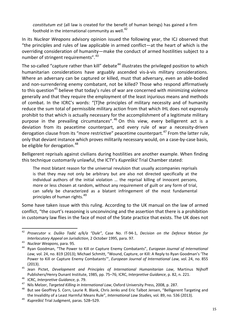*constitutum est* (all law is created for the benefit of human beings) has gained a firm foothold in the international community as well.<sup>[42](#page-16-0)</sup>

In its *Nuclear Weapons* advisory opinion issued the following year, the ICJ observed that "the principles and rules of law applicable in armed conflict—at the heart of which is the overriding consideration of humanity—make the conduct of armed hostilities subject to a number of stringent requirements".<sup>[43](#page-16-1)</sup>

The so-called "capture rather than kill" debate<sup>[44](#page-16-2)</sup> illustrates the privileged position to which humanitarian considerations have arguably ascended vis-à-vis military considerations. Where an adversary can be captured or killed, must that adversary, even an able-bodied and non-surrendering enemy combatant, not be killed? Those who respond affirmatively to this question<sup>[45](#page-16-3)</sup> believe that today's rules of war are concerned with minimizing violence generally and that they require the employment of the least injurious means and methods of combat. In the ICRC's words: "[T]he principles of military necessity and of humanity reduce the sum total of permissible military action from that which IHL does not expressly prohibit to that which is actually necessary for the accomplishment of a legitimate military purpose in the prevailing circumstances".<sup>[46](#page-16-4)</sup> On this view, every belligerent act is a deviation from its peacetime counterpart, and every rule of war a necessity-driven derogation clause from its "more restrictive" peacetime counterpart.<sup>[47](#page-16-5)</sup> From the latter rule, only that deviant instance which proves militarily necessary would, on a case-by-case basis, be eligible for derogation.<sup>[48](#page-16-6)</sup>

Belligerent reprisals against civilians during hostilities are another example. When finding this technique customarily unlawful, the ICTY's *Kupreškić* Trial Chamber stated:

The most blatant reason for the universal revulsion that usually accompanies reprisals is that they may not only be arbitrary but are also not directed specifically at the individual authors of the initial violation … the reprisal killing of innocent persons, more or less chosen at random, without any requirement of guilt or any form of trial, can safely be characterized as a blatant infringement of the most fundamental principles of human rights.<sup>[49](#page-16-7)</sup>

Some have taken issue with this ruling. According to the UK manual on the law of armed conflict, "the court's reasoning is unconvincing and the assertion that there is a prohibition in customary law flies in the face of most of the State practice that exists. The UK does not

<span id="page-16-0"></span><sup>42</sup> *Prosecutor v. Duško Tadić a/k/a "Dule"*, Case No. IT-94-1, *Decision on the Defence Motion for Interlocutory Appeal on Jurisdiction*, 2 October 1995, para. 97. l

<span id="page-16-1"></span><sup>43</sup> *Nuclear Weapons*, para. 95.

<span id="page-16-2"></span><sup>44</sup> Ryan Goodman, "The Power to Kill or Capture Enemy Combatants", *European Journal of International Law,* vol. 24, no. 819 (2013); Michael Schmitt, "Wound, Capture, or Kill: A Reply to Ryan Goodman's 'The Power to Kill or Capture Enemy Combatants'", *European Journal of International Law,* vol. 24, no. 855 (2013).

<span id="page-16-3"></span><sup>45</sup> Jean Pictet, *Development and Principles of International Humanitarian Law*, Martinus Nijhoff Publishers/Henry Dunant Institute, 1985, pp. 75–76; ICRC, *Interpretive Guidance*, p. 82, n. 221.

<span id="page-16-4"></span><sup>46</sup> ICRC, *Interpretive Guidance*, p. 79.

<span id="page-16-5"></span><sup>47</sup> Nils Melzer, *Targeted Killing in International Law*, Oxford University Press, 2008, p. 287.

<span id="page-16-6"></span><sup>48</sup> But see Geoffrey S. Corn, Laurie R. Blank, Chris Jenks and Eric Talbot Jensen, "Belligerent Targeting and the Invalidity of a Least Harmful Means Rule", *International Law Studies,* vol. 89, no. 536 (2013).

<span id="page-16-7"></span><sup>49</sup> *Kupreškić* Trial Judgment, paras. 528–529.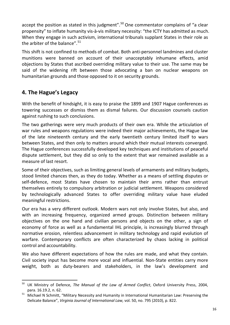accept the position as stated in this judgment".<sup>[50](#page-17-0)</sup> One commentator complains of "a clear propensity" to inflate humanity vis-à-vis military necessity: "the ICTY has admitted as much. When they engage in such activism, international tribunals supplant States in their role as the arbiter of the balance".<sup>[51](#page-17-1)</sup>

This shift is not confined to methods of combat. Both anti-personnel landmines and cluster munitions were banned on account of their unacceptably inhumane effects, amid objections by States that ascribed overriding military value to their use. The same may be said of the widening rift between those advocating a ban on nuclear weapons on humanitarian grounds and those opposed to it on security grounds.

## **4. The Hague's Legacy**

 $\overline{a}$ 

With the benefit of hindsight, it is easy to praise the 1899 and 1907 Hague conferences as towering successes or dismiss them as dismal failures. Our discussion counsels caution against rushing to such conclusions.

The two gatherings were very much products of their own era. While the articulation of war rules and weapons regulations were indeed their major achievements, the Hague law of the late nineteenth century and the early twentieth century limited itself to wars between States, and then only to matters around which their mutual interests converged. The Hague conferences successfully developed key techniques and institutions of peaceful dispute settlement, but they did so only to the extent that war remained available as a measure of last resort.

Some of their objectives, such as limiting general levels of armaments and military budgets, stood limited chances then, as they do today. Whether as a means of settling disputes or self-defence, most States have chosen to maintain their arms rather than entrust themselves entirely to compulsory arbitration or judicial settlement. Weapons considered by technologically advanced States to offer overriding military value have eluded meaningful restrictions.

Our era has a very different outlook. Modern wars not only involve States, but also, and with an increasing frequency, organized armed groups. Distinction between military objectives on the one hand and civilian persons and objects on the other, a sign of economy of force as well as a fundamental IHL principle, is increasingly blurred through normative erosion, relentless advancement in military technology and rapid evolution of warfare. Contemporary conflicts are often characterized by chaos lacking in political control and accountability.

We also have different expectations of how the rules are made, and what they contain. Civil society input has become more vocal and influential. Non-State entities carry more weight, both as duty-bearers and stakeholders, in the law's development and

<span id="page-17-0"></span><sup>50</sup> UK Ministry of Defence, *The Manual of the Law of Armed Conflict*, Oxford University Press, 2004, para. 16.19.2, n. 62.

<span id="page-17-1"></span><sup>51</sup> Michael N Schmitt, "Military Necessity and Humanity in International Humanitarian Law: Preserving the Delicate Balance", *Virginia Journal of International Law,* vol. 50, no. 795 (2010), p. 822.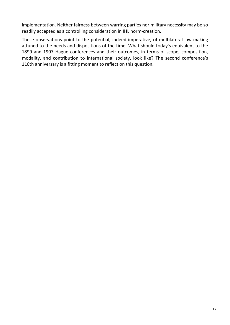implementation. Neither fairness between warring parties nor military necessity may be so readily accepted as a controlling consideration in IHL norm-creation.

These observations point to the potential, indeed imperative, of multilateral law-making attuned to the needs and dispositions of the time. What should today's equivalent to the 1899 and 1907 Hague conferences and their outcomes, in terms of scope, composition, modality, and contribution to international society, look like? The second conference's 110th anniversary is a fitting moment to reflect on this question.